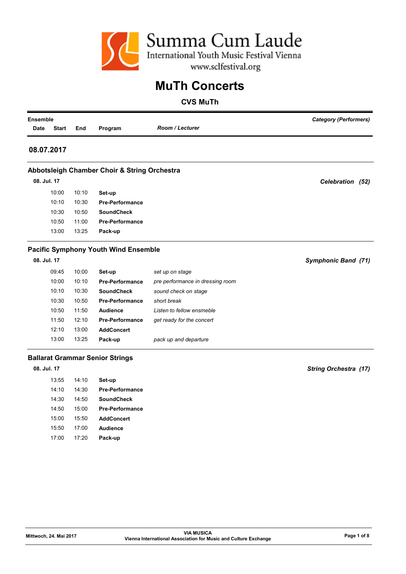

#### CVS MuTh

| Ensemble    |              |       |                                              |                                  | <b>Category (Performers)</b> |
|-------------|--------------|-------|----------------------------------------------|----------------------------------|------------------------------|
| <b>Date</b> | <b>Start</b> | End   | Program                                      | <b>Room / Lecturer</b>           |                              |
| 08.07.2017  |              |       |                                              |                                  |                              |
|             |              |       | Abbotsleigh Chamber Choir & String Orchestra |                                  |                              |
| 08. Jul. 17 |              |       |                                              |                                  | Celebration (52)             |
|             | 10:00        | 10:10 | Set-up                                       |                                  |                              |
|             | 10:10        | 10:30 | <b>Pre-Performance</b>                       |                                  |                              |
|             | 10:30        | 10:50 | <b>SoundCheck</b>                            |                                  |                              |
|             | 10:50        | 11:00 | <b>Pre-Performance</b>                       |                                  |                              |
|             | 13:00        | 13:25 | Pack-up                                      |                                  |                              |
|             |              |       | <b>Pacific Symphony Youth Wind Ensemble</b>  |                                  |                              |
| 08. Jul. 17 |              |       |                                              |                                  | Symphonic Band (71)          |
|             | 09:45        | 10:00 | Set-up                                       | set up on stage                  |                              |
|             | 10:00        | 10:10 | <b>Pre-Performance</b>                       | pre performance in dressing room |                              |
|             | 10:10        | 10:30 | <b>SoundCheck</b>                            | sound check on stage             |                              |
|             | 10:30        | 10:50 | <b>Pre-Performance</b>                       | short break                      |                              |
|             | 10:50        | 11:50 | <b>Audience</b>                              | Listen to fellow ensmeble        |                              |
|             | 11:50        | 12:10 | <b>Pre-Performance</b>                       | get ready for the concert        |                              |
|             | 12:10        | 13:00 | <b>AddConcert</b>                            |                                  |                              |
|             | 13:00        | 13:25 | Pack-up                                      | pack up and departure            |                              |
|             |              |       | <b>Ballarat Grammar Senior Strings</b>       |                                  |                              |
| 08. Jul. 17 |              |       |                                              |                                  | <b>String Orchestra (17)</b> |

13:55 14:10 Set-up

14:10 14:30 Pre-Performance 14:30 14:50 SoundCheck 14:50 15:00 Pre-Performance 15:00 15:50 AddConcert 15:50 17:00 Audience 17:00 17:20 Pack-up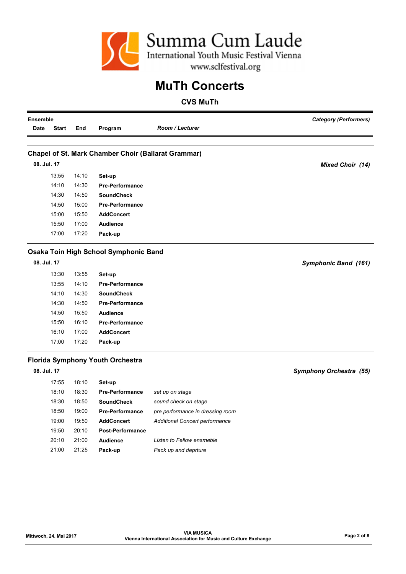

| <b>Ensemble</b> |              |       |                                                            | <b>Category (Performers)</b>          |                                |
|-----------------|--------------|-------|------------------------------------------------------------|---------------------------------------|--------------------------------|
| Date            | <b>Start</b> | End   | Program                                                    | <b>Room / Lecturer</b>                |                                |
|                 |              |       |                                                            |                                       |                                |
|                 |              |       | <b>Chapel of St. Mark Chamber Choir (Ballarat Grammar)</b> |                                       |                                |
|                 | 08. Jul. 17  |       |                                                            |                                       | <b>Mixed Choir (14)</b>        |
|                 | 13:55        | 14:10 | Set-up                                                     |                                       |                                |
|                 | 14:10        | 14:30 | <b>Pre-Performance</b>                                     |                                       |                                |
|                 | 14:30        | 14:50 | <b>SoundCheck</b>                                          |                                       |                                |
|                 | 14:50        | 15:00 | <b>Pre-Performance</b>                                     |                                       |                                |
|                 | 15:00        | 15:50 | <b>AddConcert</b>                                          |                                       |                                |
|                 | 15:50        | 17:00 | <b>Audience</b>                                            |                                       |                                |
|                 | 17:00        | 17:20 | Pack-up                                                    |                                       |                                |
|                 |              |       | Osaka Toin High School Symphonic Band                      |                                       |                                |
|                 | 08. Jul. 17  |       |                                                            |                                       | Symphonic Band (161)           |
|                 | 13:30        | 13:55 | Set-up                                                     |                                       |                                |
|                 | 13:55        | 14:10 | <b>Pre-Performance</b>                                     |                                       |                                |
|                 | 14:10        | 14:30 | <b>SoundCheck</b>                                          |                                       |                                |
|                 | 14:30        | 14:50 | <b>Pre-Performance</b>                                     |                                       |                                |
|                 | 14:50        | 15:50 | <b>Audience</b>                                            |                                       |                                |
|                 | 15:50        | 16:10 | <b>Pre-Performance</b>                                     |                                       |                                |
|                 | 16:10        | 17:00 | <b>AddConcert</b>                                          |                                       |                                |
|                 | 17:00        | 17:20 | Pack-up                                                    |                                       |                                |
|                 |              |       | <b>Florida Symphony Youth Orchestra</b>                    |                                       |                                |
|                 | 08. Jul. 17  |       |                                                            |                                       | <b>Symphony Orchestra (55)</b> |
|                 | 17:55        | 18:10 | Set-up                                                     |                                       |                                |
|                 | 18:10        | 18:30 | <b>Pre-Performance</b>                                     | set up on stage                       |                                |
|                 | 18:30        | 18:50 | <b>SoundCheck</b>                                          | sound check on stage                  |                                |
|                 | 18:50        | 19:00 | <b>Pre-Performance</b>                                     | pre performance in dressing room      |                                |
|                 | 19:00        | 19:50 | <b>AddConcert</b>                                          | <b>Additional Concert performance</b> |                                |
|                 | 19:50        | 20:10 | <b>Post-Performance</b>                                    |                                       |                                |
|                 | 20:10        | 21:00 | <b>Audience</b>                                            | Listen to Fellow ensmeble             |                                |
|                 | 21:00        | 21:25 | Pack-up                                                    | Pack up and deprture                  |                                |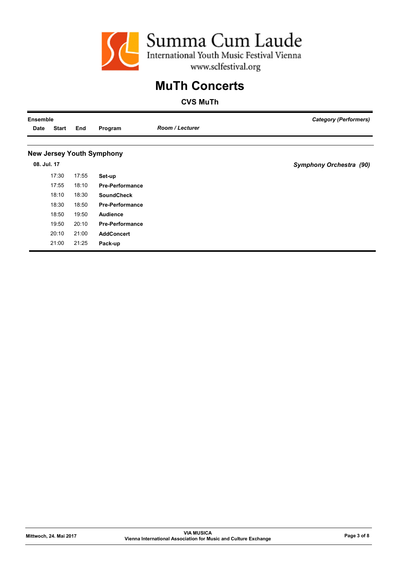

| <b>Ensemble</b> |              |       |                                  |                        | <b>Category (Performers)</b>   |
|-----------------|--------------|-------|----------------------------------|------------------------|--------------------------------|
| Date            | <b>Start</b> | End   | Program                          | <b>Room / Lecturer</b> |                                |
|                 |              |       |                                  |                        |                                |
|                 |              |       | <b>New Jersey Youth Symphony</b> |                        |                                |
| 08. Jul. 17     |              |       |                                  |                        | <b>Symphony Orchestra (90)</b> |
|                 | 17:30        | 17:55 | Set-up                           |                        |                                |
|                 | 17:55        | 18:10 | <b>Pre-Performance</b>           |                        |                                |
|                 | 18:10        | 18:30 | <b>SoundCheck</b>                |                        |                                |
|                 | 18:30        | 18:50 | <b>Pre-Performance</b>           |                        |                                |
|                 | 18:50        | 19:50 | <b>Audience</b>                  |                        |                                |
|                 | 19:50        | 20:10 | <b>Pre-Performance</b>           |                        |                                |
|                 | 20:10        | 21:00 | <b>AddConcert</b>                |                        |                                |
|                 | 21:00        | 21:25 | Pack-up                          |                        |                                |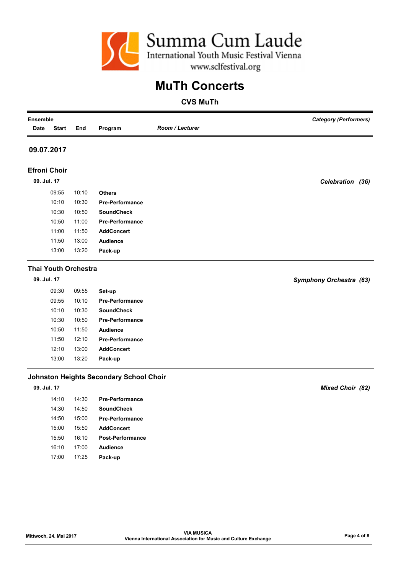

| <b>Ensemble</b>             |                        |       |                                                |                                                                 | <b>Category (Performers)</b> |
|-----------------------------|------------------------|-------|------------------------------------------------|-----------------------------------------------------------------|------------------------------|
| Date                        | <b>Start</b>           | End   | Program                                        | Room / Lecturer                                                 |                              |
| 09.07.2017                  |                        |       |                                                |                                                                 |                              |
| <b>Efroni Choir</b>         |                        |       |                                                |                                                                 |                              |
| 09. Jul. 17                 |                        |       |                                                |                                                                 | Celebration (36)             |
|                             | 09:55                  | 10:10 | <b>Others</b>                                  |                                                                 |                              |
|                             | 10:10                  | 10:30 | <b>Pre-Performance</b>                         |                                                                 |                              |
|                             | 10:30                  | 10:50 | <b>SoundCheck</b>                              |                                                                 |                              |
|                             | 10:50                  | 11:00 | <b>Pre-Performance</b>                         |                                                                 |                              |
|                             | 11:00                  | 11:50 | <b>AddConcert</b>                              |                                                                 |                              |
|                             | 11:50                  | 13:00 | <b>Audience</b>                                |                                                                 |                              |
|                             | 13:00                  | 13:20 | Pack-up                                        |                                                                 |                              |
| <b>Thai Youth Orchestra</b> |                        |       |                                                |                                                                 |                              |
| 09. Jul. 17                 |                        |       |                                                |                                                                 | Symphony Orchestra (63)      |
|                             | 09:30                  | 09:55 | Set-up                                         |                                                                 |                              |
|                             | 09:55                  | 10:10 | <b>Pre-Performance</b>                         |                                                                 |                              |
|                             | 10:10                  | 10:30 | <b>SoundCheck</b>                              |                                                                 |                              |
|                             | 10:30                  | 10:50 | <b>Pre-Performance</b>                         |                                                                 |                              |
|                             | 10:50                  | 11:50 | <b>Audience</b>                                |                                                                 |                              |
|                             | 11:50                  | 12:10 | <b>Pre-Performance</b>                         |                                                                 |                              |
|                             | 12:10                  | 13:00 | <b>AddConcert</b>                              |                                                                 |                              |
|                             | 13:00                  | 13:20 | Pack-up                                        |                                                                 |                              |
|                             |                        |       | <b>Johnston Heights Secondary School Choir</b> |                                                                 |                              |
| 09. Jul. 17                 |                        |       |                                                |                                                                 | <b>Mixed Choir (82)</b>      |
|                             | 14:10                  | 14:30 | <b>Pre-Performance</b>                         |                                                                 |                              |
|                             | 14:30                  | 14:50 | <b>SoundCheck</b>                              |                                                                 |                              |
|                             | 14:50                  | 15:00 | <b>Pre-Performance</b>                         |                                                                 |                              |
|                             | 15:00                  | 15:50 | <b>AddConcert</b>                              |                                                                 |                              |
|                             | 15:50                  | 16:10 | Post-Performance                               |                                                                 |                              |
|                             | 16:10                  | 17:00 | <b>Audience</b>                                |                                                                 |                              |
|                             | 17:00                  | 17:25 | Pack-up                                        |                                                                 |                              |
|                             |                        |       |                                                |                                                                 |                              |
|                             |                        |       |                                                | <b>VIA MUSICA</b>                                               |                              |
|                             | Mittwoch, 24. Mai 2017 |       |                                                | Vienna International Association for Music and Culture Exchange | Page 4 of 8                  |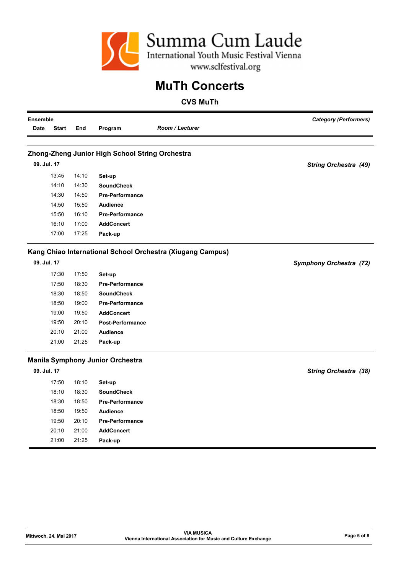

| Room / Lecturer<br>Program<br><b>Start</b><br>End<br>Zhong-Zheng Junior High School String Orchestra<br>09. Jul. 17<br><b>String Orchestra (49)</b><br>13:45<br>14:10<br>Set-up<br>14:10<br>14:30<br><b>SoundCheck</b><br>14:30<br>14:50<br><b>Pre-Performance</b><br>14:50<br>15:50<br><b>Audience</b><br>15:50<br>16:10<br><b>Pre-Performance</b><br>16:10<br>17:00<br><b>AddConcert</b><br>17:00<br>17:25<br>Pack-up<br>Kang Chiao International School Orchestra (Xiugang Campus) |
|---------------------------------------------------------------------------------------------------------------------------------------------------------------------------------------------------------------------------------------------------------------------------------------------------------------------------------------------------------------------------------------------------------------------------------------------------------------------------------------|
|                                                                                                                                                                                                                                                                                                                                                                                                                                                                                       |
|                                                                                                                                                                                                                                                                                                                                                                                                                                                                                       |
|                                                                                                                                                                                                                                                                                                                                                                                                                                                                                       |
|                                                                                                                                                                                                                                                                                                                                                                                                                                                                                       |
|                                                                                                                                                                                                                                                                                                                                                                                                                                                                                       |
|                                                                                                                                                                                                                                                                                                                                                                                                                                                                                       |
|                                                                                                                                                                                                                                                                                                                                                                                                                                                                                       |
|                                                                                                                                                                                                                                                                                                                                                                                                                                                                                       |
|                                                                                                                                                                                                                                                                                                                                                                                                                                                                                       |
|                                                                                                                                                                                                                                                                                                                                                                                                                                                                                       |
|                                                                                                                                                                                                                                                                                                                                                                                                                                                                                       |
|                                                                                                                                                                                                                                                                                                                                                                                                                                                                                       |
| 09. Jul. 17<br><b>Symphony Orchestra (72)</b>                                                                                                                                                                                                                                                                                                                                                                                                                                         |
| 17:30<br>17:50<br>Set-up                                                                                                                                                                                                                                                                                                                                                                                                                                                              |
| 17:50<br>18:30<br><b>Pre-Performance</b>                                                                                                                                                                                                                                                                                                                                                                                                                                              |
| 18:30<br>18:50<br><b>SoundCheck</b>                                                                                                                                                                                                                                                                                                                                                                                                                                                   |
| 19:00<br>18:50<br><b>Pre-Performance</b>                                                                                                                                                                                                                                                                                                                                                                                                                                              |
| 19:00<br>19:50<br><b>AddConcert</b>                                                                                                                                                                                                                                                                                                                                                                                                                                                   |
| 19:50<br>20:10<br><b>Post-Performance</b>                                                                                                                                                                                                                                                                                                                                                                                                                                             |
| 20:10<br>21:00<br><b>Audience</b>                                                                                                                                                                                                                                                                                                                                                                                                                                                     |
| 21:00<br>21:25<br>Pack-up                                                                                                                                                                                                                                                                                                                                                                                                                                                             |
| <b>Manila Symphony Junior Orchestra</b>                                                                                                                                                                                                                                                                                                                                                                                                                                               |
| 09. Jul. 17<br><b>String Orchestra (38)</b>                                                                                                                                                                                                                                                                                                                                                                                                                                           |
| 17:50<br>18:10<br>Set-up                                                                                                                                                                                                                                                                                                                                                                                                                                                              |
| 18:10<br>18:30<br><b>SoundCheck</b>                                                                                                                                                                                                                                                                                                                                                                                                                                                   |
| 18:30<br>18:50<br><b>Pre-Performance</b>                                                                                                                                                                                                                                                                                                                                                                                                                                              |
| 18:50<br>19:50<br><b>Audience</b>                                                                                                                                                                                                                                                                                                                                                                                                                                                     |
| 20:10<br>19:50<br><b>Pre-Performance</b>                                                                                                                                                                                                                                                                                                                                                                                                                                              |
| 20:10<br>21:00<br><b>AddConcert</b>                                                                                                                                                                                                                                                                                                                                                                                                                                                   |
| 21:00<br>21:25<br>Pack-up                                                                                                                                                                                                                                                                                                                                                                                                                                                             |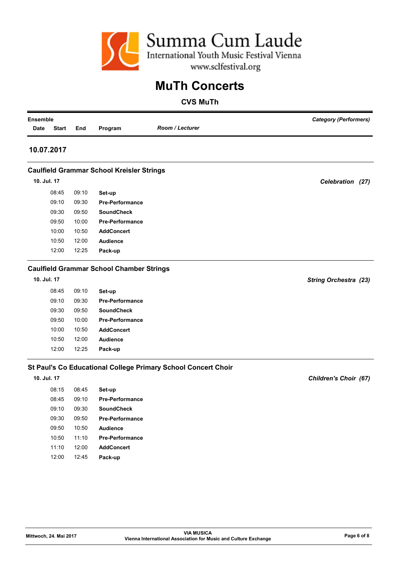

| <b>Ensemble</b> |              |       |                                                  |                                                               | <b>Category (Performers)</b> |
|-----------------|--------------|-------|--------------------------------------------------|---------------------------------------------------------------|------------------------------|
| Date            | <b>Start</b> | End   | Program                                          | <b>Room / Lecturer</b>                                        |                              |
|                 |              |       |                                                  |                                                               |                              |
|                 | 10.07.2017   |       |                                                  |                                                               |                              |
|                 |              |       | <b>Caulfield Grammar School Kreisler Strings</b> |                                                               |                              |
|                 | 10. Jul. 17  |       |                                                  |                                                               | Celebration (27)             |
|                 | 08:45        | 09:10 | Set-up                                           |                                                               |                              |
|                 | 09:10        | 09:30 | <b>Pre-Performance</b>                           |                                                               |                              |
|                 | 09:30        | 09:50 | <b>SoundCheck</b>                                |                                                               |                              |
|                 | 09:50        | 10:00 | <b>Pre-Performance</b>                           |                                                               |                              |
|                 | 10:00        | 10:50 | <b>AddConcert</b>                                |                                                               |                              |
|                 | 10:50        | 12:00 | <b>Audience</b>                                  |                                                               |                              |
|                 | 12:00        | 12:25 | Pack-up                                          |                                                               |                              |
|                 |              |       | <b>Caulfield Grammar School Chamber Strings</b>  |                                                               |                              |
|                 | 10. Jul. 17  |       |                                                  |                                                               | <b>String Orchestra (23)</b> |
|                 | 08:45        | 09:10 | Set-up                                           |                                                               |                              |
|                 | 09:10        | 09:30 | <b>Pre-Performance</b>                           |                                                               |                              |
|                 | 09:30        | 09:50 | <b>SoundCheck</b>                                |                                                               |                              |
|                 | 09:50        | 10:00 | <b>Pre-Performance</b>                           |                                                               |                              |
|                 | 10:00        | 10:50 | <b>AddConcert</b>                                |                                                               |                              |
|                 | 10:50        | 12:00 | <b>Audience</b>                                  |                                                               |                              |
|                 | 12:00        | 12:25 | Pack-up                                          |                                                               |                              |
|                 |              |       |                                                  | St Paul's Co Educational College Primary School Concert Choir |                              |
|                 | 10. Jul. 17  |       |                                                  |                                                               | Children's Choir (67)        |
|                 | 08:15        | 08:45 | Set-up                                           |                                                               |                              |
|                 | 08:45        | 09:10 | <b>Pre-Performance</b>                           |                                                               |                              |
|                 | 09:10        | 09:30 | <b>SoundCheck</b>                                |                                                               |                              |
|                 | 09:30        | 09:50 | <b>Pre-Performance</b>                           |                                                               |                              |
|                 | 09:50        | 10:50 | <b>Audience</b>                                  |                                                               |                              |
|                 | 10:50        | 11:10 | Pre-Performance                                  |                                                               |                              |
|                 | 11:10        | 12:00 | <b>AddConcert</b>                                |                                                               |                              |
|                 | 12:00        | 12:45 | Pack-up                                          |                                                               |                              |
|                 |              |       |                                                  |                                                               |                              |
|                 |              |       |                                                  |                                                               |                              |
|                 |              |       |                                                  |                                                               |                              |
|                 |              |       |                                                  |                                                               |                              |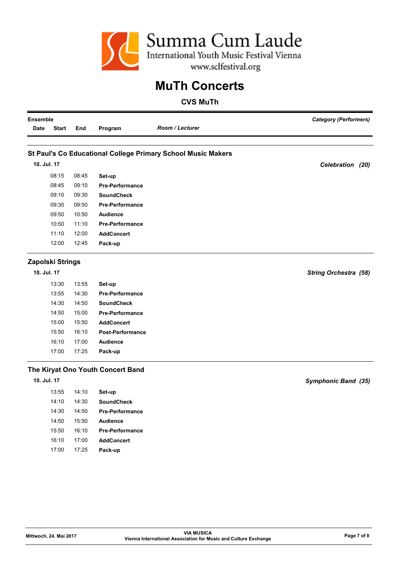

| <b>Ensemble</b>      |       |                                   | <b>Category (Performers)</b>                                 |                              |
|----------------------|-------|-----------------------------------|--------------------------------------------------------------|------------------------------|
| Date<br><b>Start</b> | End   | Program                           | Room / Lecturer                                              |                              |
|                      |       |                                   | St Paul's Co Educational College Primary School Music Makers |                              |
| 10. Jul. 17          |       |                                   |                                                              | Celebration (20)             |
|                      |       |                                   |                                                              |                              |
| 08:15                | 08:45 | Set-up                            |                                                              |                              |
| 08:45                | 09:10 | <b>Pre-Performance</b>            |                                                              |                              |
| 09:10                | 09:30 | <b>SoundCheck</b>                 |                                                              |                              |
| 09:30                | 09:50 | <b>Pre-Performance</b>            |                                                              |                              |
| 09:50                | 10:50 | <b>Audience</b>                   |                                                              |                              |
| 10:50                | 11:10 | <b>Pre-Performance</b>            |                                                              |                              |
| 11:10                | 12:00 | <b>AddConcert</b>                 |                                                              |                              |
| 12:00                | 12:45 | Pack-up                           |                                                              |                              |
| Zapolski Strings     |       |                                   |                                                              |                              |
| 10. Jul. 17          |       |                                   |                                                              | <b>String Orchestra (58)</b> |
| 13:30                | 13:55 | Set-up                            |                                                              |                              |
| 13:55                | 14:30 | <b>Pre-Performance</b>            |                                                              |                              |
| 14:30                | 14:50 | <b>SoundCheck</b>                 |                                                              |                              |
| 14:50                | 15:00 | <b>Pre-Performance</b>            |                                                              |                              |
| 15:00                | 15:50 | <b>AddConcert</b>                 |                                                              |                              |
| 15:50                | 16:10 | <b>Post-Performance</b>           |                                                              |                              |
| 16:10                | 17:00 | <b>Audience</b>                   |                                                              |                              |
| 17:00                | 17:25 | Pack-up                           |                                                              |                              |
|                      |       | The Kiryat Ono Youth Concert Band |                                                              |                              |
| 10. Jul. 17          |       |                                   |                                                              | Symphonic Band (35)          |
| 13:55                | 14:10 | Set-up                            |                                                              |                              |
| 14:10                | 14:30 | <b>SoundCheck</b>                 |                                                              |                              |
| 14:30                | 14:50 | <b>Pre-Performance</b>            |                                                              |                              |
| 14:50                | 15:50 | Audience                          |                                                              |                              |
| 15:50                | 16:10 | <b>Pre-Performance</b>            |                                                              |                              |
| 16:10                | 17:00 | <b>AddConcert</b>                 |                                                              |                              |
| 17:00                | 17:25 | Pack-up                           |                                                              |                              |
|                      |       |                                   |                                                              |                              |
|                      |       |                                   |                                                              |                              |
|                      |       |                                   |                                                              |                              |